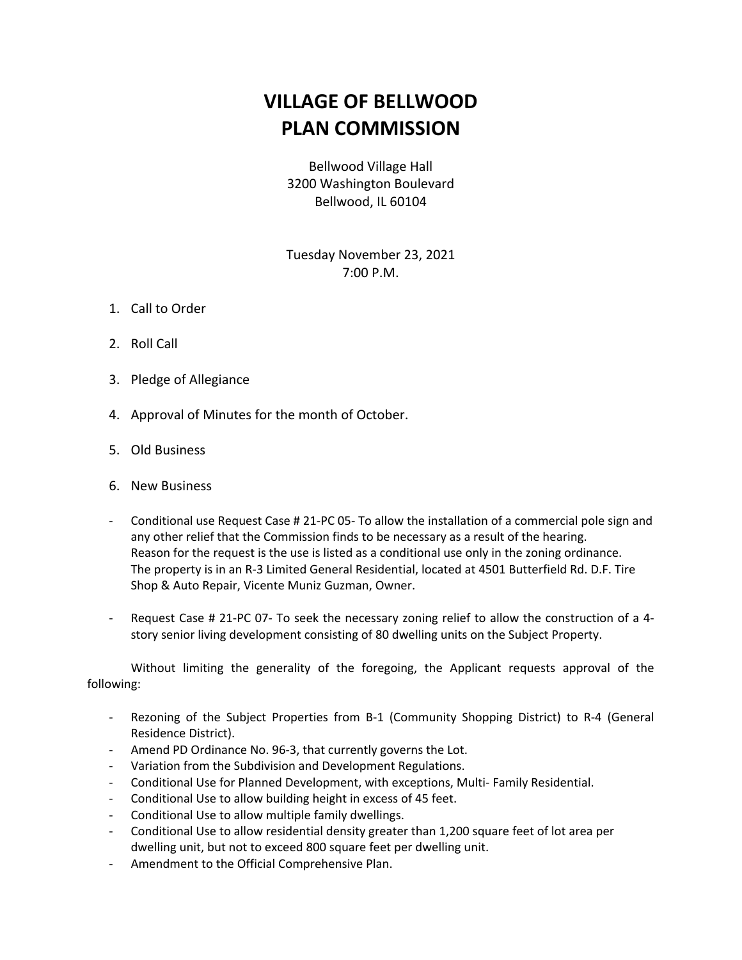## **VILLAGE OF BELLWOOD PLAN COMMISSION**

Bellwood Village Hall 3200 Washington Boulevard Bellwood, IL 60104

Tuesday November 23, 2021 7:00 P.M.

- 1. Call to Order
- 2. Roll Call
- 3. Pledge of Allegiance
- 4. Approval of Minutes for the month of October.
- 5. Old Business
- 6. New Business
- Conditional use Request Case # 21-PC 05- To allow the installation of a commercial pole sign and any other relief that the Commission finds to be necessary as a result of the hearing. Reason for the request is the use is listed as a conditional use only in the zoning ordinance. The property is in an R-3 Limited General Residential, located at 4501 Butterfield Rd. D.F. Tire Shop & Auto Repair, Vicente Muniz Guzman, Owner.
- Request Case # 21-PC 07- To seek the necessary zoning relief to allow the construction of a 4story senior living development consisting of 80 dwelling units on the Subject Property.

Without limiting the generality of the foregoing, the Applicant requests approval of the following:

- Rezoning of the Subject Properties from B-1 (Community Shopping District) to R-4 (General Residence District).
- Amend PD Ordinance No. 96-3, that currently governs the Lot.
- Variation from the Subdivision and Development Regulations.
- Conditional Use for Planned Development, with exceptions, Multi- Family Residential.
- Conditional Use to allow building height in excess of 45 feet.
- Conditional Use to allow multiple family dwellings.
- Conditional Use to allow residential density greater than 1,200 square feet of lot area per dwelling unit, but not to exceed 800 square feet per dwelling unit.
- Amendment to the Official Comprehensive Plan.